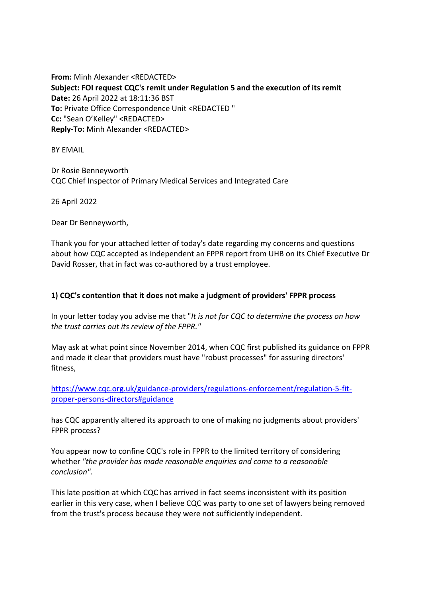**From:** Minh Alexander <REDACTED> **Subject: FOI request CQC's remit under Regulation 5 and the execution of its remit Date:** 26 April 2022 at 18:11:36 BST **To:** Private Office Correspondence Unit <REDACTED " **Cc:** "Sean O'Kelley" <REDACTED> **Reply-To:** Minh Alexander <REDACTED>

BY EMAIL

Dr Rosie Benneyworth CQC Chief Inspector of Primary Medical Services and Integrated Care

26 April 2022

Dear Dr Benneyworth,

Thank you for your attached letter of today's date regarding my concerns and questions about how CQC accepted as independent an FPPR report from UHB on its Chief Executive Dr David Rosser, that in fact was co-authored by a trust employee.

## **1) CQC's contention that it does not make a judgment of providers' FPPR process**

In your letter today you advise me that "*It is not for CQC to determine the process on how the trust carries out its review of the FPPR."*

May ask at what point since November 2014, when CQC first published its guidance on FPPR and made it clear that providers must have "robust processes" for assuring directors' fitness,

https://www.cqc.org.uk/guidance-providers/regulations-enforcement/regulation-5-fitproper-persons-directors#guidance

has CQC apparently altered its approach to one of making no judgments about providers' FPPR process?

You appear now to confine CQC's role in FPPR to the limited territory of considering whether *"the provider has made reasonable enquiries and come to a reasonable conclusion".*

This late position at which CQC has arrived in fact seems inconsistent with its position earlier in this very case, when I believe CQC was party to one set of lawyers being removed from the trust's process because they were not sufficiently independent.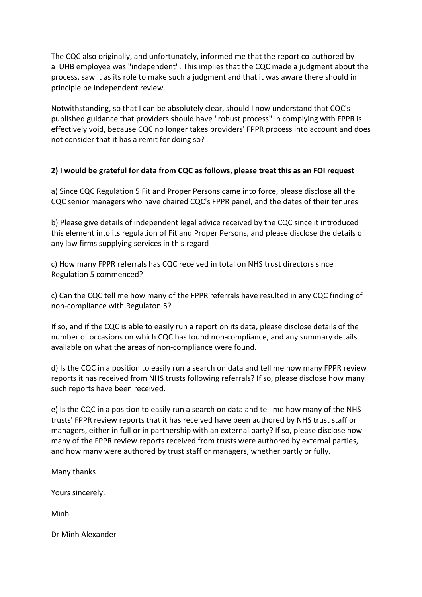The CQC also originally, and unfortunately, informed me that the report co-authored by a UHB employee was "independent". This implies that the CQC made a judgment about the process, saw it as its role to make such a judgment and that it was aware there should in principle be independent review.

Notwithstanding, so that I can be absolutely clear, should I now understand that CQC's published guidance that providers should have "robust process" in complying with FPPR is effectively void, because CQC no longer takes providers' FPPR process into account and does not consider that it has a remit for doing so?

## **2) I would be grateful for data from CQC as follows, please treat this as an FOI request**

a) Since CQC Regulation 5 Fit and Proper Persons came into force, please disclose all the CQC senior managers who have chaired CQC's FPPR panel, and the dates of their tenures

b) Please give details of independent legal advice received by the CQC since it introduced this element into its regulation of Fit and Proper Persons, and please disclose the details of any law firms supplying services in this regard

c) How many FPPR referrals has CQC received in total on NHS trust directors since Regulation 5 commenced?

c) Can the CQC tell me how many of the FPPR referrals have resulted in any CQC finding of non-compliance with Regulaton 5?

If so, and if the CQC is able to easily run a report on its data, please disclose details of the number of occasions on which CQC has found non-compliance, and any summary details available on what the areas of non-compliance were found.

d) Is the CQC in a position to easily run a search on data and tell me how many FPPR review reports it has received from NHS trusts following referrals? If so, please disclose how many such reports have been received.

e) Is the CQC in a position to easily run a search on data and tell me how many of the NHS trusts' FPPR review reports that it has received have been authored by NHS trust staff or managers, either in full or in partnership with an external party? If so, please disclose how many of the FPPR review reports received from trusts were authored by external parties, and how many were authored by trust staff or managers, whether partly or fully.

Many thanks

Yours sincerely,

Minh

Dr Minh Alexander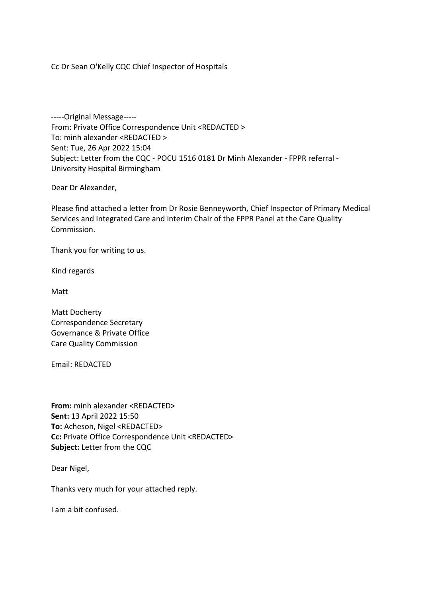Cc Dr Sean O'Kelly CQC Chief Inspector of Hospitals

-----Original Message----- From: Private Office Correspondence Unit <REDACTED > To: minh alexander <REDACTED > Sent: Tue, 26 Apr 2022 15:04 Subject: Letter from the CQC - POCU 1516 0181 Dr Minh Alexander - FPPR referral - University Hospital Birmingham

Dear Dr Alexander,

Please find attached a letter from Dr Rosie Benneyworth, Chief Inspector of Primary Medical Services and Integrated Care and interim Chair of the FPPR Panel at the Care Quality Commission.

Thank you for writing to us.

Kind regards

Matt

Matt Docherty Correspondence Secretary Governance & Private Office Care Quality Commission

Email: REDACTED

**From:** minh alexander <REDACTED> **Sent:** 13 April 2022 15:50 **To:** Acheson, Nigel <REDACTED> **Cc:** Private Office Correspondence Unit <REDACTED> **Subject:** Letter from the CQC

Dear Nigel,

Thanks very much for your attached reply.

I am a bit confused.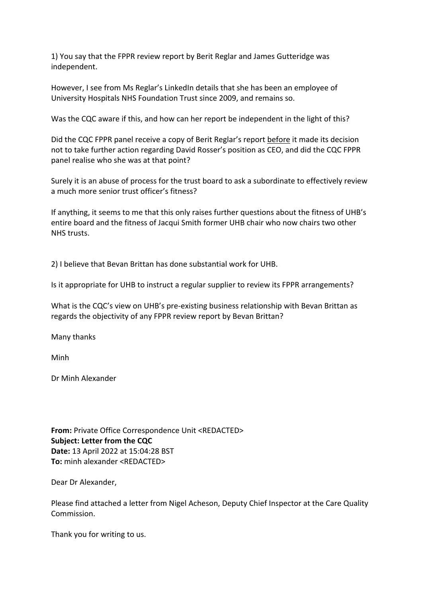1) You say that the FPPR review report by Berit Reglar and James Gutteridge was independent.

However, I see from Ms Reglar's LinkedIn details that she has been an employee of University Hospitals NHS Foundation Trust since 2009, and remains so.

Was the CQC aware if this, and how can her report be independent in the light of this?

Did the CQC FPPR panel receive a copy of Berit Reglar's report before it made its decision not to take further action regarding David Rosser's position as CEO, and did the CQC FPPR panel realise who she was at that point?

Surely it is an abuse of process for the trust board to ask a subordinate to effectively review a much more senior trust officer's fitness?

If anything, it seems to me that this only raises further questions about the fitness of UHB's entire board and the fitness of Jacqui Smith former UHB chair who now chairs two other NHS trusts.

2) I believe that Bevan Brittan has done substantial work for UHB.

Is it appropriate for UHB to instruct a regular supplier to review its FPPR arrangements?

What is the CQC's view on UHB's pre-existing business relationship with Bevan Brittan as regards the objectivity of any FPPR review report by Bevan Brittan?

Many thanks

Minh

Dr Minh Alexander

**From:** Private Office Correspondence Unit <REDACTED> **Subject: Letter from the CQC Date:** 13 April 2022 at 15:04:28 BST **To:** minh alexander <REDACTED>

Dear Dr Alexander,

Please find attached a letter from Nigel Acheson, Deputy Chief Inspector at the Care Quality Commission.

Thank you for writing to us.